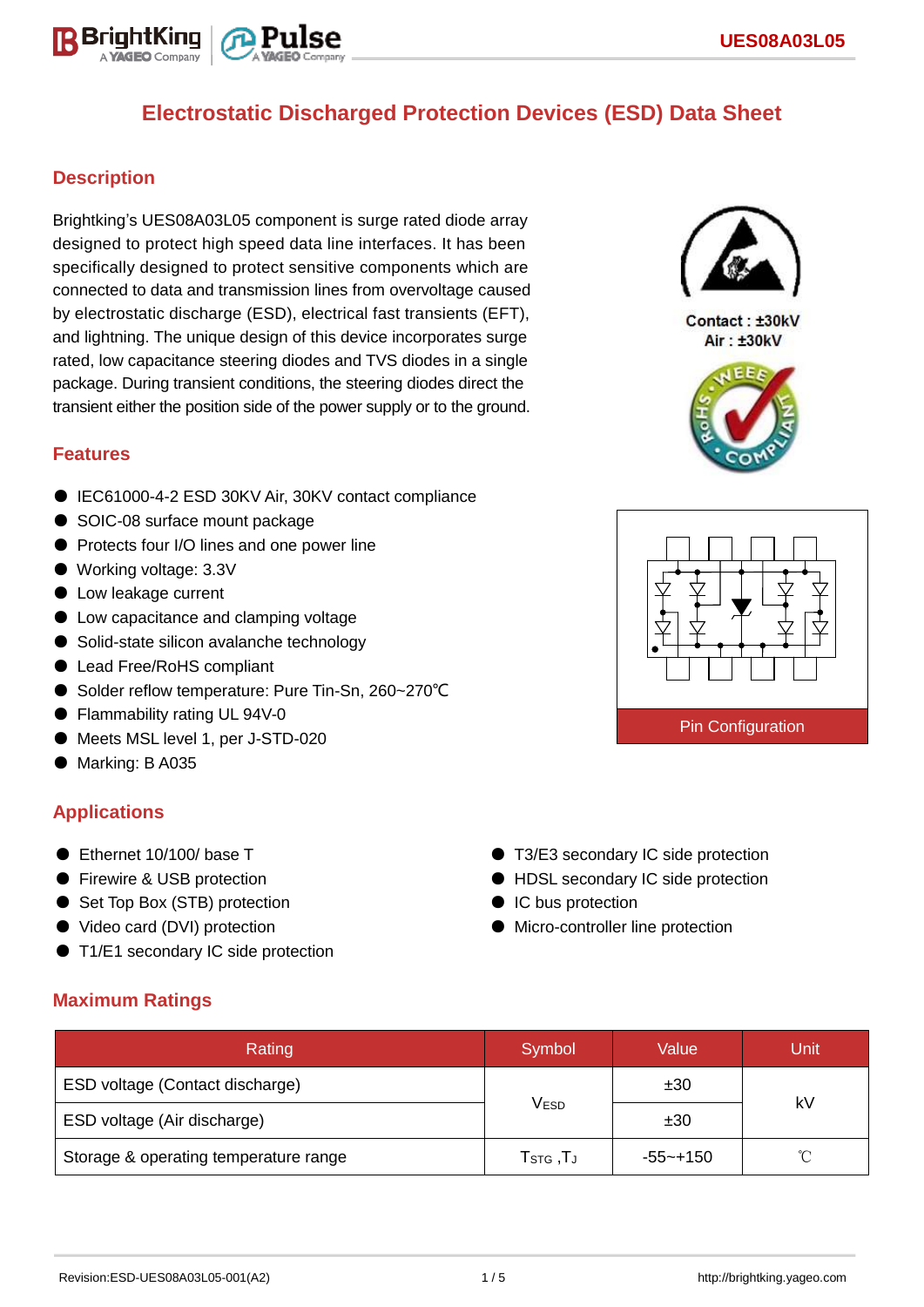

## **Description**

Brightking's UES08A03L05 component is surge rated diode array designed to protect high speed data line interfaces. It has been specifically designed to protect sensitive components which are connected to data and transmission lines from overvoltage caused by electrostatic discharge (ESD), electrical fast transients (EFT), and lightning. The unique design of this device incorporates surge rated, low capacitance steering diodes and TVS diodes in a single package. During transient conditions, the steering diodes direct the transient either the position side of the power supply or to the ground.

## **Features**

- IEC61000-4-2 ESD 30KV Air, 30KV contact compliance
- SOIC-08 surface mount package
- Protects four I/O lines and one power line
- Working voltage: 3.3V
- Low leakage current
- Low capacitance and clamping voltage
- Solid-state silicon avalanche technology
- Lead Free/RoHS compliant
- Solder reflow temperature: Pure Tin-Sn, 260~270°C
- Flammability rating UL 94V-0
- Meets MSL level 1, per J-STD-020
- Marking: B A035

## **Applications**

- Ethernet 10/100/ base T
- Firewire & USB protection
- Set Top Box (STB) protection
- Video card (DVI) protection

**Maximum Ratings**

● T1/E1 secondary IC side protection

- T3/E3 secondary IC side protection ● HDSL secondary IC side protection
- IC bus protection
- Micro-controller line protection

| Rating                                | Symbol                             | Value       | Unit |  |
|---------------------------------------|------------------------------------|-------------|------|--|
| ESD voltage (Contact discharge)       |                                    | ±30         | kV   |  |
| ESD voltage (Air discharge)           | $\mathsf{V}_{\mathsf{ESD}}$        | ±30         |      |  |
| Storage & operating temperature range | $T_{\scriptstyle\textrm{STG}}$ ,TJ | $-55$ ~+150 | ∽    |  |



Contact: ±30kV Air: ±30kV



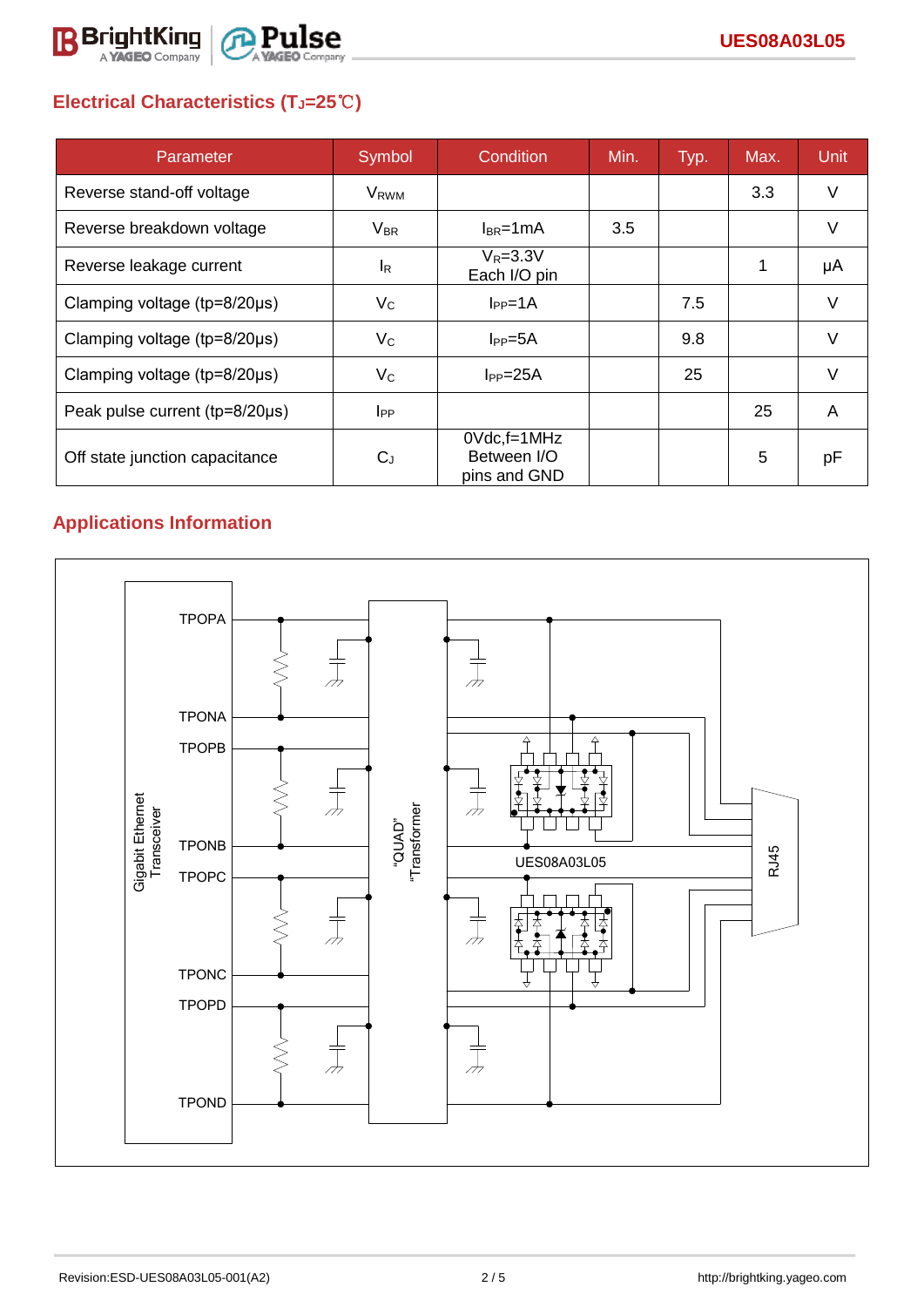

# **Electrical Characteristics (TJ=25**℃**)**

| Parameter                              | Symbol           | Condition                                      | Min. | Typ. | Max. | <b>Unit</b> |
|----------------------------------------|------------------|------------------------------------------------|------|------|------|-------------|
| Reverse stand-off voltage              | V <sub>RWM</sub> |                                                |      |      | 3.3  | V           |
| Reverse breakdown voltage              | $V_{\sf BR}$     | $I_{BR}$ =1mA                                  | 3.5  |      |      | V           |
| Reverse leakage current                | $I_R$            | $V_R = 3.3V$<br>Each I/O pin                   |      |      |      | μA          |
| Clamping voltage ( $tp = 8/20 \mu s$ ) | $V_C$            | $I_{PP} = 1A$                                  |      | 7.5  |      | V           |
| Clamping voltage ( $tp = 8/20 \mu s$ ) | $V_{\rm C}$      | $I_{PP} = 5A$                                  |      | 9.8  |      |             |
| Clamping voltage (tp=8/20µs)           | $V_{\rm C}$      | $I_{PP} = 25A$                                 |      | 25   |      | $\vee$      |
| Peak pulse current (tp=8/20µs)         | $_{\rm lPP}$     |                                                |      |      | 25   | A           |
| Off state junction capacitance         | $C_{J}$          | $0$ Vdc, f=1MHz<br>Between I/O<br>pins and GND |      |      | 5    | рF          |

# **Applications Information**

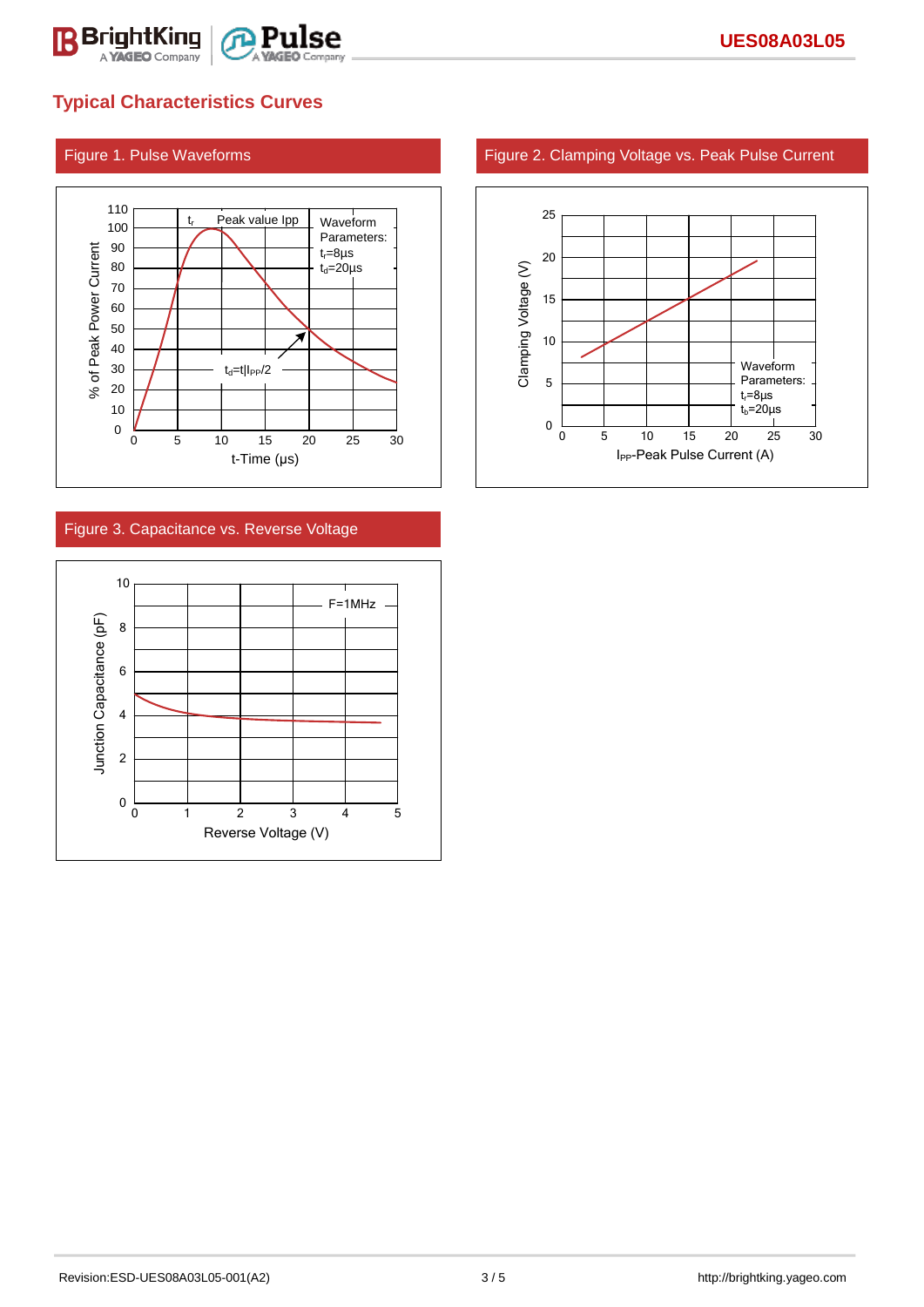

## **Typical Characteristics Curves**



### Figure 3. Capacitance vs. Reverse Voltage



### Figure 1. Pulse Waveforms Figure 2. Clamping Voltage vs. Peak Pulse Current

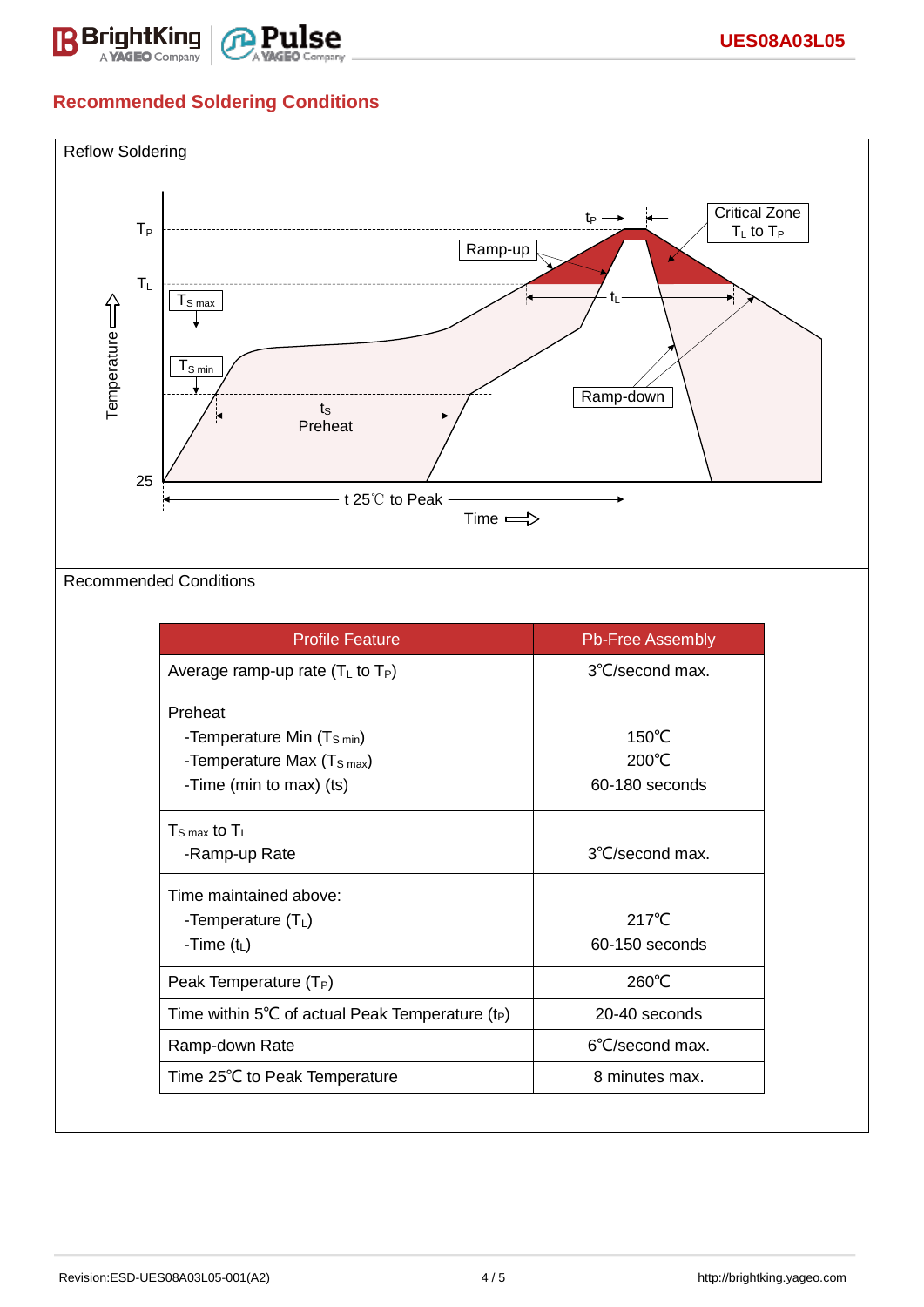

# **Recommended Soldering Conditions**